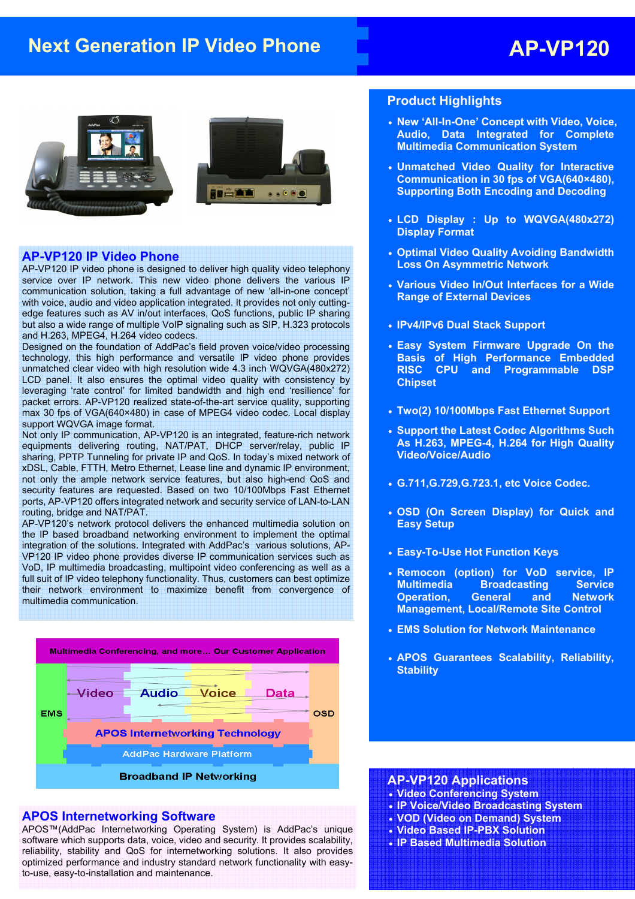# **Next Generation IP Video Phone AP-VP120**





### **AP-VP120 IP Video Phone**

AP-VP120 IP video phone is designed to deliver high quality video telephony service over IP network. This new video phone delivers the various IP communication solution, taking a full advantage of new 'all-in-one concept' with voice, audio and video application integrated. It provides not only cuttingedge features such as AV in/out interfaces, QoS functions, public IP sharing but also a wide range of multiple VoIP signaling such as SIP, H.323 protocols and H.263, MPEG4, H.264 video codecs.

Designed on the foundation of AddPac's field proven voice/video processing technology, this high performance and versatile IP video phone provides unmatched clear video with high resolution wide 4.3 inch WQVGA(480x272) LCD panel. It also ensures the optimal video quality with consistency by leveraging 'rate control' for limited bandwidth and high end 'resilience' for packet errors. AP-VP120 realized state-of-the-art service quality, supporting max 30 fps of VGA(640×480) in case of MPEG4 video codec. Local display support WQVGA image format.

Not only IP communication, AP-VP120 is an integrated, feature-rich network equipments delivering routing, NAT/PAT, DHCP server/relay, public IP sharing, PPTP Tunneling for private IP and QoS. In today's mixed network of xDSL, Cable, FTTH, Metro Ethernet, Lease line and dynamic IP environment, not only the ample network service features, but also high-end QoS and security features are requested. Based on two 10/100Mbps Fast Ethernet ports, AP-VP120 offers integrated network and security service of LAN-to-LAN routing, bridge and NAT/PAT.

AP-VP120's network protocol delivers the enhanced multimedia solution on the IP based broadband networking environment to implement the optimal integration of the solutions. Integrated with AddPac's various solutions, AP-VP120 IP video phone provides diverse IP communication services such as VoD, IP multimedia broadcasting, multipoint video conferencing as well as a full suit of IP video telephony functionality. Thus, customers can best optimize their network environment to maximize benefit from convergence of multimedia communication.



#### **APOS Internetworking Software**

APOS™(AddPac Internetworking Operating System) is AddPac's unique software which supports data, voice, video and security. It provides scalability, reliability, stability and QoS for internetworking solutions. It also provides optimized performance and industry standard network functionality with easyto-use, easy-to-installation and maintenance.

## **Product Highlights**

- **New 'All-In-One' Concept with Video, Voice, Audio, Data Integrated for Complete Multimedia Communication System**
- **Unmatched Video Quality for Interactive Communication in 30 fps of VGA(640×480), Supporting Both Encoding and Decoding**
- **LCD Display : Up to WQVGA(480x272) Display Format**
- **Optimal Video Quality Avoiding Bandwidth Loss On Asymmetric Network**
- **Various Video In/Out Interfaces for a Wide Range of External Devices**
- **IPv4/IPv6 Dual Stack Support**
- **Easy System Firmware Upgrade On the Basis of High Performance Embedded RISC CPU and Programmable DSP Chipset**
- **Two(2) 10/100Mbps Fast Ethernet Support**
- **Support the Latest Codec Algorithms Such As H.263, MPEG-4, H.264 for High Quality Video/Voice/Audio**
- **G.711,G.729,G.723.1, etc Voice Codec.**
- **OSD (On Screen Display) for Quick and Easy Setup**
- **Easy-To-Use Hot Function Keys**
- **Remocon (option) for VoD service, IP Multimedia Broadcasting Service Operation, General and Network Management, Local/Remote Site Control**
- **EMS Solution for Network Maintenance**
- **APOS Guarantees Scalability, Reliability, Stability**

#### **AP-VP120 Applications**

- **Video Conferencing System**
- **IP Voice/Video Broadcasting System**
- **VOD (Video on Demand) System**
- **Video Based IP-PBX Solution**
- **IP Based Multimedia Solution**